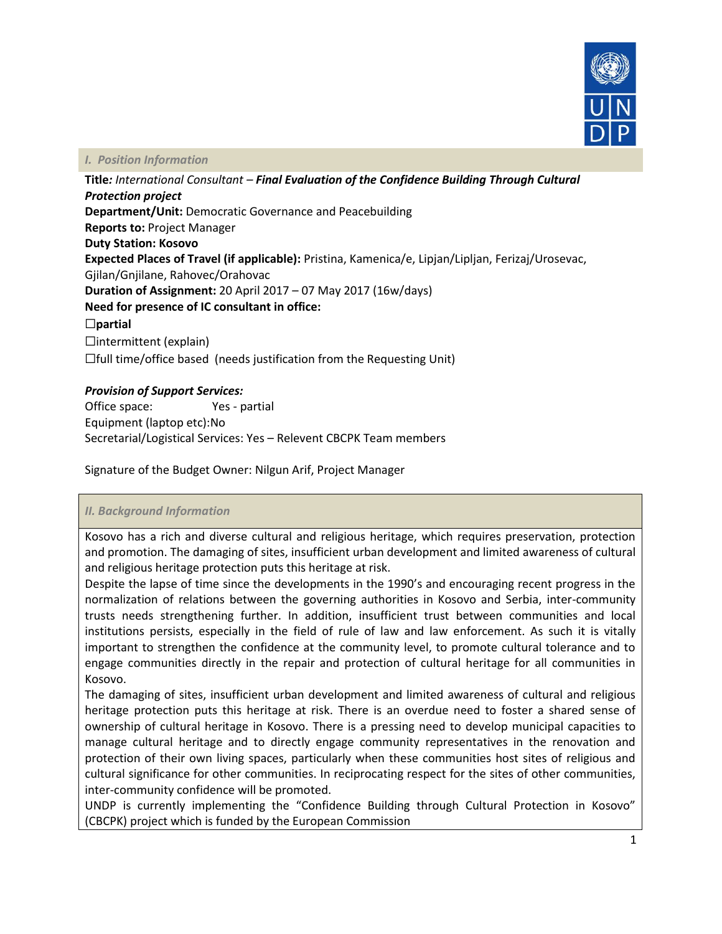

### *I. Position Information*

**Title***: International Consultant – Final Evaluation of the Confidence Building Through Cultural Protection project* **Department/Unit:** Democratic Governance and Peacebuilding **Reports to:** Project Manager **Duty Station: Kosovo Expected Places of Travel (if applicable):** Pristina, Kamenica/e, Lipjan/Lipljan, Ferizaj/Urosevac, Gjilan/Gnjilane, Rahovec/Orahovac **Duration of Assignment:** 20 April 2017 – 07 May 2017 (16w/days) **Need for presence of IC consultant in office:** ☐**partial**   $\Box$ intermittent (explain) ☐full time/office based (needs justification from the Requesting Unit)

# *Provision of Support Services:*

Office space: Yes - partial Equipment (laptop etc):No Secretarial/Logistical Services: Yes – Relevent CBCPK Team members

Signature of the Budget Owner: Nilgun Arif, Project Manager

## *II. Background Information*

Kosovo has a rich and diverse cultural and religious heritage, which requires preservation, protection and promotion. The damaging of sites, insufficient urban development and limited awareness of cultural and religious heritage protection puts this heritage at risk.

Despite the lapse of time since the developments in the 1990's and encouraging recent progress in the normalization of relations between the governing authorities in Kosovo and Serbia, inter-community trusts needs strengthening further. In addition, insufficient trust between communities and local institutions persists, especially in the field of rule of law and law enforcement. As such it is vitally important to strengthen the confidence at the community level, to promote cultural tolerance and to engage communities directly in the repair and protection of cultural heritage for all communities in Kosovo.

The damaging of sites, insufficient urban development and limited awareness of cultural and religious heritage protection puts this heritage at risk. There is an overdue need to foster a shared sense of ownership of cultural heritage in Kosovo. There is a pressing need to develop municipal capacities to manage cultural heritage and to directly engage community representatives in the renovation and protection of their own living spaces, particularly when these communities host sites of religious and cultural significance for other communities. In reciprocating respect for the sites of other communities, inter-community confidence will be promoted.

UNDP is currently implementing the "Confidence Building through Cultural Protection in Kosovo" (CBCPK) project which is funded by the European Commission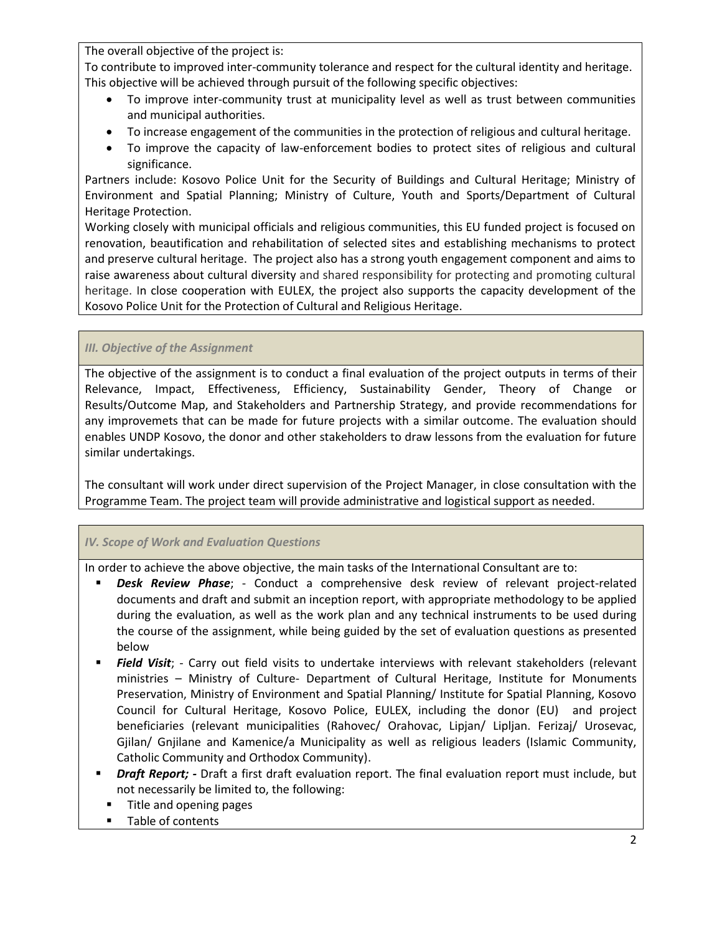The overall objective of the project is:

To contribute to improved inter-community tolerance and respect for the cultural identity and heritage. This objective will be achieved through pursuit of the following specific objectives:

- To improve inter-community trust at municipality level as well as trust between communities and municipal authorities.
- To increase engagement of the communities in the protection of religious and cultural heritage.
- To improve the capacity of law-enforcement bodies to protect sites of religious and cultural significance.

Partners include: Kosovo Police Unit for the Security of Buildings and Cultural Heritage; Ministry of Environment and Spatial Planning; Ministry of Culture, Youth and Sports/Department of Cultural Heritage Protection.

Working closely with municipal officials and religious communities, this EU funded project is focused on renovation, beautification and rehabilitation of selected sites and establishing mechanisms to protect and preserve cultural heritage. The project also has a strong youth engagement component and aims to raise awareness about cultural diversity and shared responsibility for protecting and promoting cultural heritage. In close cooperation with EULEX, the project also supports the capacity development of the Kosovo Police Unit for the Protection of Cultural and Religious Heritage.

# *III. Objective of the Assignment*

The objective of the assignment is to conduct a final evaluation of the project outputs in terms of their Relevance, Impact, Effectiveness, Efficiency, Sustainability Gender, Theory of Change or Results/Outcome Map, and Stakeholders and Partnership Strategy, and provide recommendations for any improvemets that can be made for future projects with a similar outcome. The evaluation should enables UNDP Kosovo, the donor and other stakeholders to draw lessons from the evaluation for future similar undertakings.

The consultant will work under direct supervision of the Project Manager, in close consultation with the Programme Team. The project team will provide administrative and logistical support as needed.

## *IV. Scope of Work and Evaluation Questions*

In order to achieve the above objective, the main tasks of the International Consultant are to:

- *Desk Review Phase*; Conduct a comprehensive desk review of relevant project-related documents and draft and submit an inception report, with appropriate methodology to be applied during the evaluation, as well as the work plan and any technical instruments to be used during the course of the assignment, while being guided by the set of evaluation questions as presented below
- *Field Visit*; Carry out field visits to undertake interviews with relevant stakeholders (relevant ministries – Ministry of Culture- Department of Cultural Heritage, Institute for Monuments Preservation, Ministry of Environment and Spatial Planning/ Institute for Spatial Planning, Kosovo Council for Cultural Heritage, Kosovo Police, EULEX, including the donor (EU) and project beneficiaries (relevant municipalities (Rahovec/ Orahovac, Lipjan/ Lipljan. Ferizaj/ Urosevac, Gjilan/ Gnjilane and Kamenice/a Municipality as well as religious leaders (Islamic Community, Catholic Community and Orthodox Community).
- *Draft Report; -* Draft a first draft evaluation report. The final evaluation report must include, but not necessarily be limited to, the following:
	- **Title and opening pages**
	- **Table of contents**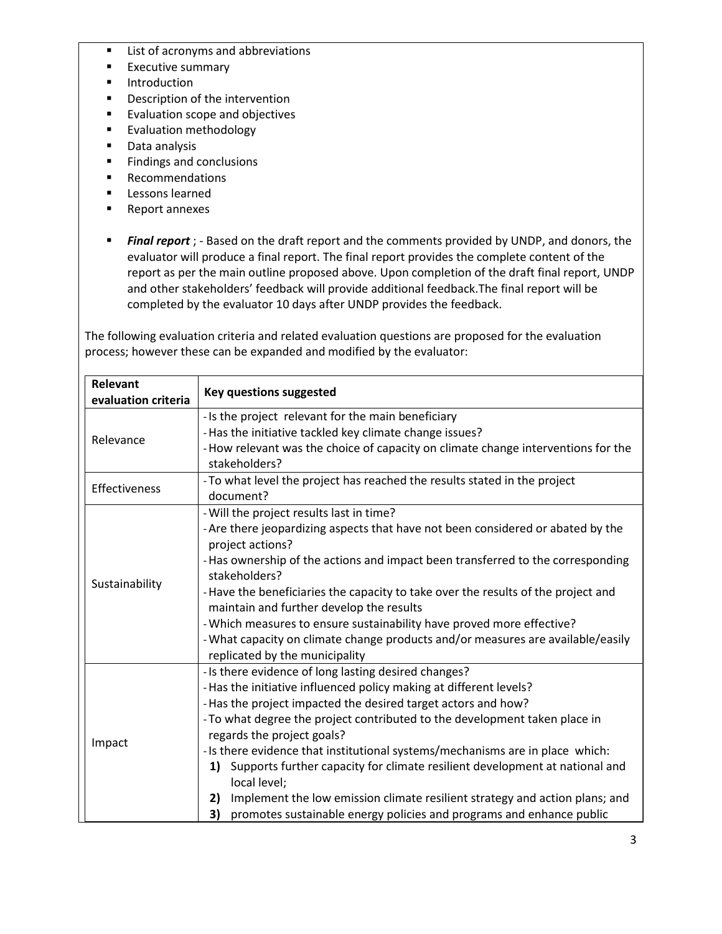- **EXECUTE:** List of acronyms and abbreviations
- **Executive summary**
- **Introduction**
- **•** Description of the intervention
- **Evaluation scope and objectives**
- **Evaluation methodology**
- **Data analysis**
- **Findings and conclusions**
- **Recommendations**
- **Lessons learned**
- Report annexes
- *Final report* ; Based on the draft report and the comments provided by UNDP, and donors, the evaluator will produce a final report. The final report provides the complete content of the report as per the main outline proposed above. Upon completion of the draft final report, UNDP and other stakeholders' feedback will provide additional feedback.The final report will be completed by the evaluator 10 days after UNDP provides the feedback.

The following evaluation criteria and related evaluation questions are proposed for the evaluation process; however these can be expanded and modified by the evaluator:

| <b>Relevant</b><br>evaluation criteria | <b>Key questions suggested</b>                                                                                                                                                                                                                                                                                                                                                                                                                                                                                                                                                                                                                                |  |  |  |  |
|----------------------------------------|---------------------------------------------------------------------------------------------------------------------------------------------------------------------------------------------------------------------------------------------------------------------------------------------------------------------------------------------------------------------------------------------------------------------------------------------------------------------------------------------------------------------------------------------------------------------------------------------------------------------------------------------------------------|--|--|--|--|
| Relevance                              | - Is the project relevant for the main beneficiary<br>- Has the initiative tackled key climate change issues?<br>- How relevant was the choice of capacity on climate change interventions for the<br>stakeholders?                                                                                                                                                                                                                                                                                                                                                                                                                                           |  |  |  |  |
| Effectiveness                          | - To what level the project has reached the results stated in the project<br>document?                                                                                                                                                                                                                                                                                                                                                                                                                                                                                                                                                                        |  |  |  |  |
| Sustainability                         | - Will the project results last in time?<br>- Are there jeopardizing aspects that have not been considered or abated by the<br>project actions?<br>-Has ownership of the actions and impact been transferred to the corresponding<br>stakeholders?<br>-Have the beneficiaries the capacity to take over the results of the project and<br>maintain and further develop the results<br>- Which measures to ensure sustainability have proved more effective?<br>- What capacity on climate change products and/or measures are available/easily<br>replicated by the municipality                                                                              |  |  |  |  |
| Impact                                 | - Is there evidence of long lasting desired changes?<br>- Has the initiative influenced policy making at different levels?<br>- Has the project impacted the desired target actors and how?<br>- To what degree the project contributed to the development taken place in<br>regards the project goals?<br>- Is there evidence that institutional systems/mechanisms are in place which:<br>Supports further capacity for climate resilient development at national and<br>1)<br>local level;<br>Implement the low emission climate resilient strategy and action plans; and<br>2)<br>3) promotes sustainable energy policies and programs and enhance public |  |  |  |  |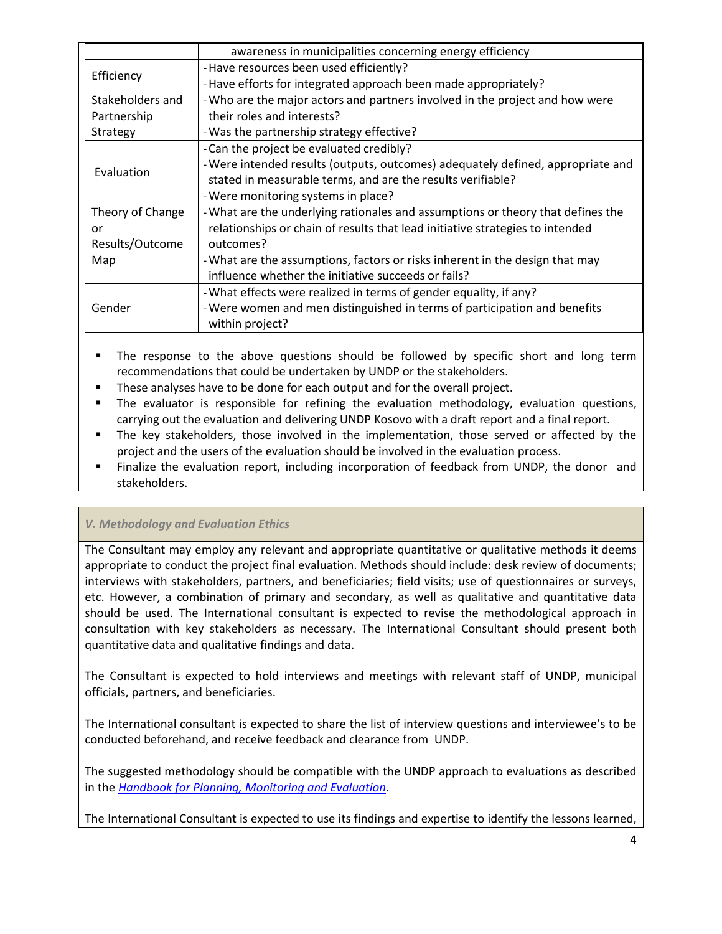|                  | awareness in municipalities concerning energy efficiency                        |  |  |  |  |
|------------------|---------------------------------------------------------------------------------|--|--|--|--|
| Efficiency       | - Have resources been used efficiently?                                         |  |  |  |  |
|                  | - Have efforts for integrated approach been made appropriately?                 |  |  |  |  |
| Stakeholders and | - Who are the major actors and partners involved in the project and how were    |  |  |  |  |
| Partnership      | their roles and interests?                                                      |  |  |  |  |
| Strategy         | - Was the partnership strategy effective?                                       |  |  |  |  |
| Evaluation       | - Can the project be evaluated credibly?                                        |  |  |  |  |
|                  | - Were intended results (outputs, outcomes) adequately defined, appropriate and |  |  |  |  |
|                  | stated in measurable terms, and are the results verifiable?                     |  |  |  |  |
|                  | - Were monitoring systems in place?                                             |  |  |  |  |
| Theory of Change | - What are the underlying rationales and assumptions or theory that defines the |  |  |  |  |
| or               | relationships or chain of results that lead initiative strategies to intended   |  |  |  |  |
| Results/Outcome  | outcomes?                                                                       |  |  |  |  |
| Map              | - What are the assumptions, factors or risks inherent in the design that may    |  |  |  |  |
|                  | influence whether the initiative succeeds or fails?                             |  |  |  |  |
| Gender           | - What effects were realized in terms of gender equality, if any?               |  |  |  |  |
|                  | - Were women and men distinguished in terms of participation and benefits       |  |  |  |  |
|                  | within project?                                                                 |  |  |  |  |

 The response to the above questions should be followed by specific short and long term recommendations that could be undertaken by UNDP or the stakeholders.

- These analyses have to be done for each output and for the overall project.
- The evaluator is responsible for refining the evaluation methodology, evaluation questions, carrying out the evaluation and delivering UNDP Kosovo with a draft report and a final report.
- The key stakeholders, those involved in the implementation, those served or affected by the project and the users of the evaluation should be involved in the evaluation process.
- Finalize the evaluation report, including incorporation of feedback from UNDP, the donor and stakeholders.

## *V. Methodology and Evaluation Ethics*

The Consultant may employ any relevant and appropriate quantitative or qualitative methods it deems appropriate to conduct the project final evaluation. Methods should include: desk review of documents; interviews with stakeholders, partners, and beneficiaries; field visits; use of questionnaires or surveys, etc. However, a combination of primary and secondary, as well as qualitative and quantitative data should be used. The International consultant is expected to revise the methodological approach in consultation with key stakeholders as necessary. The International Consultant should present both quantitative data and qualitative findings and data.

The Consultant is expected to hold interviews and meetings with relevant staff of UNDP, municipal officials, partners, and beneficiaries.

The International consultant is expected to share the list of interview questions and interviewee's to be conducted beforehand, and receive feedback and clearance from UNDP.

The suggested methodology should be compatible with the UNDP approach to evaluations as described in the *[Handbook for Planning, Monitoring and Evaluation](http://web.undp.org/evaluation/handbook/)*.

The International Consultant is expected to use its findings and expertise to identify the lessons learned,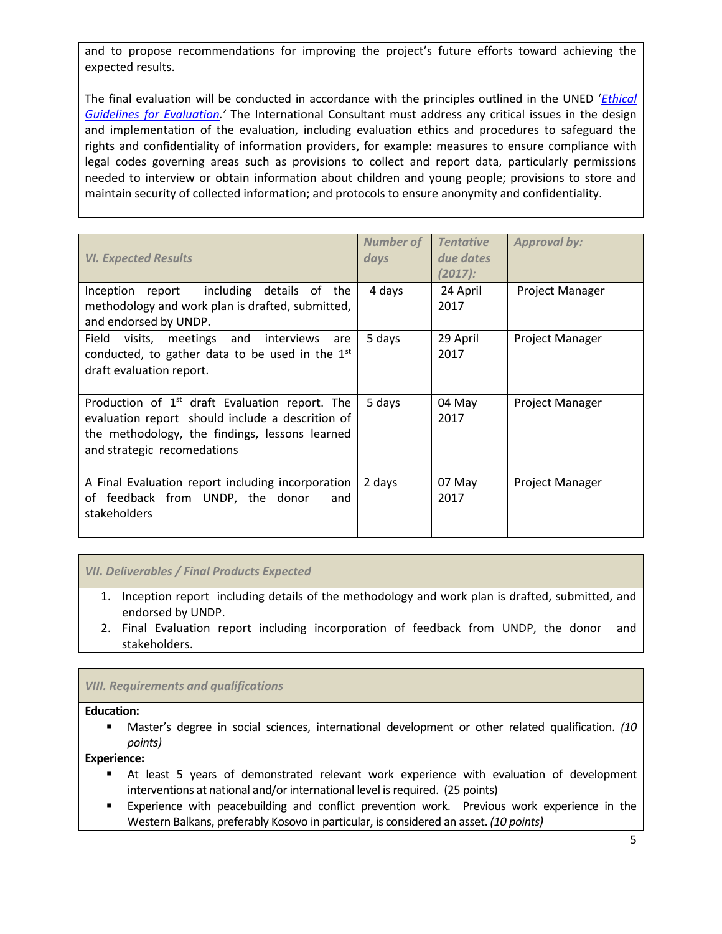and to propose recommendations for improving the project's future efforts toward achieving the expected results.

The final evaluation will be conducted in accordance with the principles outlined in the UNED '*[Ethical](http://www.unevaluation.org/ethicalguidelines)  [Guidelines for Evaluation](http://www.unevaluation.org/ethicalguidelines).'* The International Consultant must address any critical issues in the design and implementation of the evaluation, including evaluation ethics and procedures to safeguard the rights and confidentiality of information providers, for example: measures to ensure compliance with legal codes governing areas such as provisions to collect and report data, particularly permissions needed to interview or obtain information about children and young people; provisions to store and maintain security of collected information; and protocols to ensure anonymity and confidentiality.

| <b>VI. Expected Results</b>                                                                                                                                                           | <b>Number of</b><br>days | <b>Tentative</b><br>due dates<br>$(2017)$ : | <b>Approval by:</b> |
|---------------------------------------------------------------------------------------------------------------------------------------------------------------------------------------|--------------------------|---------------------------------------------|---------------------|
| Inception report including details of the<br>methodology and work plan is drafted, submitted,<br>and endorsed by UNDP.                                                                | 4 days                   | 24 April<br>2017                            | Project Manager     |
| Field<br>visits,<br>meetings<br>and<br>interviews<br>are<br>conducted, to gather data to be used in the $1st$<br>draft evaluation report.                                             | 5 days                   | 29 April<br>2017                            | Project Manager     |
| Production of $1st$ draft Evaluation report. The<br>evaluation report should include a descrition of<br>the methodology, the findings, lessons learned<br>and strategic recomedations | 5 days                   | 04 May<br>2017                              | Project Manager     |
| A Final Evaluation report including incorporation<br>feedback from UNDP, the donor<br>and<br>of<br>stakeholders                                                                       | 2 days                   | 07 May<br>2017                              | Project Manager     |

### *VII. Deliverables / Final Products Expected*

- 1. Inception report including details of the methodology and work plan is drafted, submitted, and endorsed by UNDP.
- 2. Final Evaluation report including incorporation of feedback from UNDP, the donor and stakeholders.

### *VIII. Requirements and qualifications*

#### **Education:**

 Master's degree in social sciences, international development or other related qualification. *(10 points)*

### **Experience:**

- At least 5 years of demonstrated relevant work experience with evaluation of development interventions at national and/or international level is required. (25 points)
- Experience with peacebuilding and conflict prevention work. Previous work experience in the Western Balkans, preferably Kosovo in particular, is considered an asset. *(10 points)*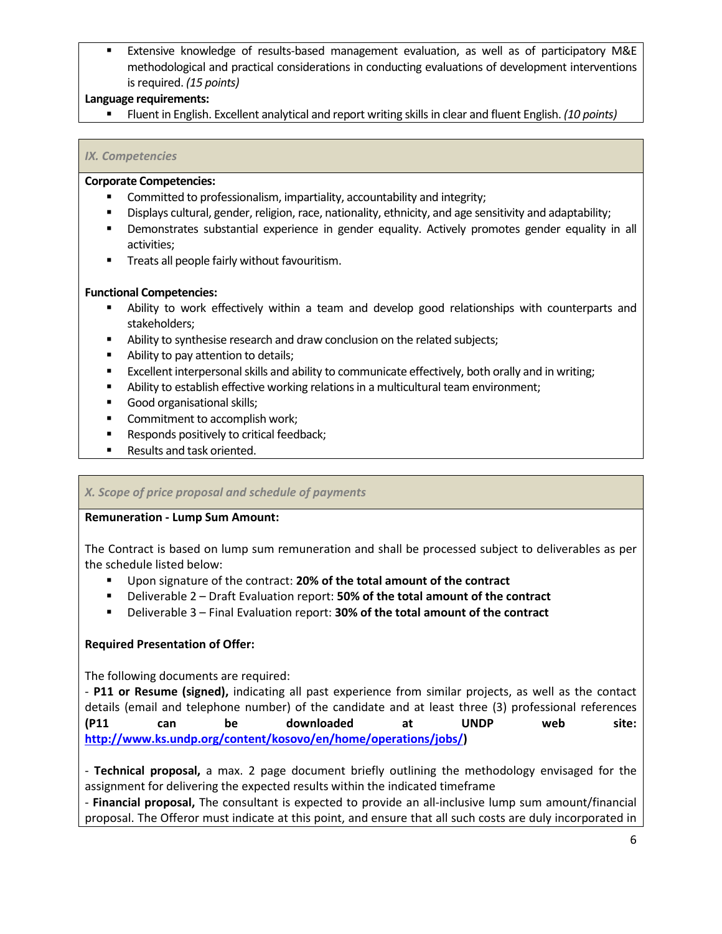Extensive knowledge of results-based management evaluation, as well as of participatory M&E methodological and practical considerations in conducting evaluations of development interventions is required. *(15 points)*

### **Language requirements:**

Fluent in English. Excellent analytical and report writing skills in clear and fluent English. *(10 points)*

### *IX. Competencies*

#### **Corporate Competencies:**

- Committed to professionalism, impartiality, accountability and integrity;
- Displays cultural, gender, religion, race, nationality, ethnicity, and age sensitivity and adaptability;
- Demonstrates substantial experience in gender equality. Actively promotes gender equality in all activities;
- **Treats all people fairly without favouritism.**

### **Functional Competencies:**

- Ability to work effectively within a team and develop good relationships with counterparts and stakeholders;
- Ability to synthesise research and draw conclusion on the related subjects;
- Ability to pay attention to details;
- **EXCELLENT INTERT IS A LOCAL SKILLS AND ADDUCATE ADDET** EXCELLENT INTERT EXCELLENT EXCELLENTS EXCELLENTS FOR DETAI
- Ability to establish effective working relations in a multicultural team environment;
- Good organisational skills;
- **Commitment to accomplish work;**
- **Responds positively to critical feedback;**
- Results and task oriented.

### *X. Scope of price proposal and schedule of payments*

### **Remuneration - Lump Sum Amount:**

The Contract is based on lump sum remuneration and shall be processed subject to deliverables as per the schedule listed below:

- Upon signature of the contract: **20% of the total amount of the contract**
- Deliverable 2 Draft Evaluation report: **50% of the total amount of the contract**
- Deliverable 3 Final Evaluation report: **30% of the total amount of the contract**

### **Required Presentation of Offer:**

The following documents are required:

- **P11 or Resume (signed),** indicating all past experience from similar projects, as well as the contact details (email and telephone number) of the candidate and at least three (3) professional references **(P11 can be downloaded at UNDP web site: [http://www.ks.undp.org/content/kosovo/en/home/operations/jobs/\)](http://www.ks.undp.org/content/kosovo/en/home/operations/jobs/)**

- **Technical proposal,** a max. 2 page document briefly outlining the methodology envisaged for the assignment for delivering the expected results within the indicated timeframe

- **Financial proposal,** The consultant is expected to provide an all-inclusive lump sum amount/financial proposal. The Offeror must indicate at this point, and ensure that all such costs are duly incorporated in